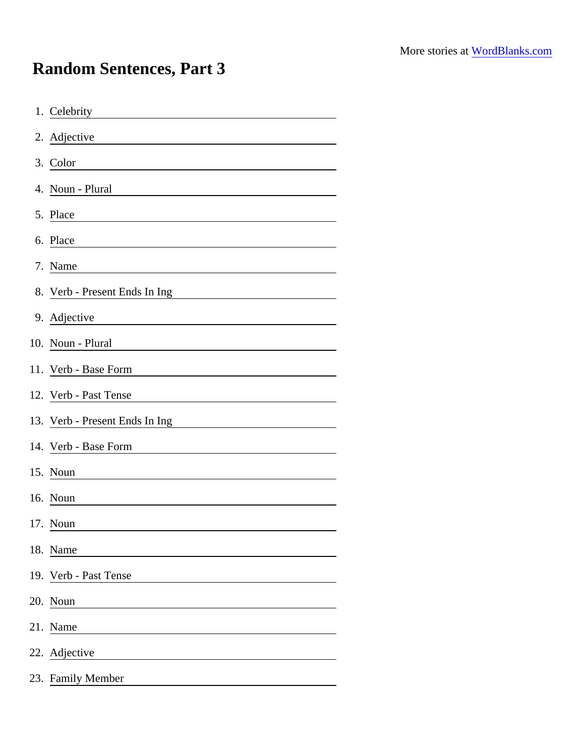## Random Sentences, Part 3

| 1. Celebrity                                                                                                                    |
|---------------------------------------------------------------------------------------------------------------------------------|
| 2. Adjective                                                                                                                    |
| 3. Color                                                                                                                        |
| 4. Noun - Plural                                                                                                                |
| 5. Place                                                                                                                        |
| 6. Place<br><u> 1989 - Andrea Albert III, politik eta politik eta politik eta politik eta politik eta politik eta politik e</u> |
| 7. Name                                                                                                                         |
| 8. Verb - Present Ends In Ing                                                                                                   |
| 9. Adjective                                                                                                                    |
| 10. Noun - Plural                                                                                                               |
| 11. Verb - Base Form                                                                                                            |
| 12. Verb - Past Tense                                                                                                           |
| 13. Verb - Present Ends In Ing                                                                                                  |
| 14. Verb - Base Form                                                                                                            |
| 15. Noun                                                                                                                        |
| 16. Noun                                                                                                                        |
| 17. Noun                                                                                                                        |
| 18. Name                                                                                                                        |
| 19. Verb - Past Tense                                                                                                           |
| 20. Noun<br><u> 1989 - Johann Stone, Amerikaansk kanton (</u>                                                                   |
| 21. Name                                                                                                                        |
| 22. Adjective                                                                                                                   |
| 23. Family Member                                                                                                               |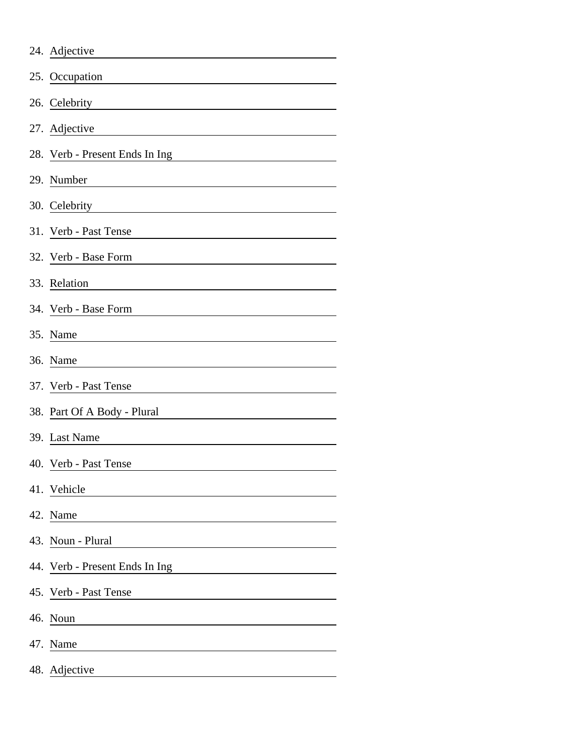| 24. Adjective                  |
|--------------------------------|
| 25. Occupation                 |
| 26. Celebrity                  |
| 27. Adjective                  |
| 28. Verb - Present Ends In Ing |
| 29. Number                     |
| 30. Celebrity                  |
| 31. Verb - Past Tense          |
| 32. Verb - Base Form           |
| 33. Relation                   |
| 34. Verb - Base Form           |
| 35. Name                       |
| 36. Name                       |
| 37. Verb - Past Tense          |
| 38. Part Of A Body - Plural    |
| 39. Last Name                  |
| 40. Verb - Past Tense          |
| 41. Vehicle                    |
| 42. Name                       |
| 43. Noun - Plural              |
| 44. Verb - Present Ends In Ing |
| 45. Verb - Past Tense          |
| 46. Noun                       |
| 47. Name                       |
| 48. Adjective                  |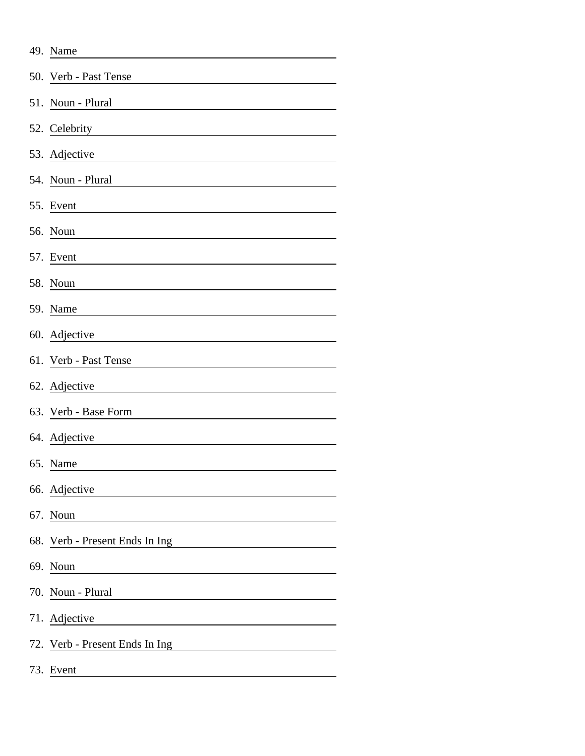| 49. Name                       |
|--------------------------------|
| 50. Verb - Past Tense          |
| 51. Noun - Plural              |
| 52. Celebrity                  |
| 53. Adjective                  |
| 54. Noun - Plural              |
| 55. Event                      |
| 56. Noun                       |
| 57. Event                      |
| 58. Noun                       |
| 59. Name                       |
| 60. Adjective                  |
| 61. Verb - Past Tense          |
| 62. Adjective                  |
| 63. Verb - Base Form           |
| 64. Adjective                  |
| 65. Name                       |
| 66. Adjective                  |
| 67. Noun                       |
| 68. Verb - Present Ends In Ing |
| 69. Noun                       |
| 70. Noun - Plural              |
| 71. Adjective                  |
| 72. Verb - Present Ends In Ing |
| 73. Event                      |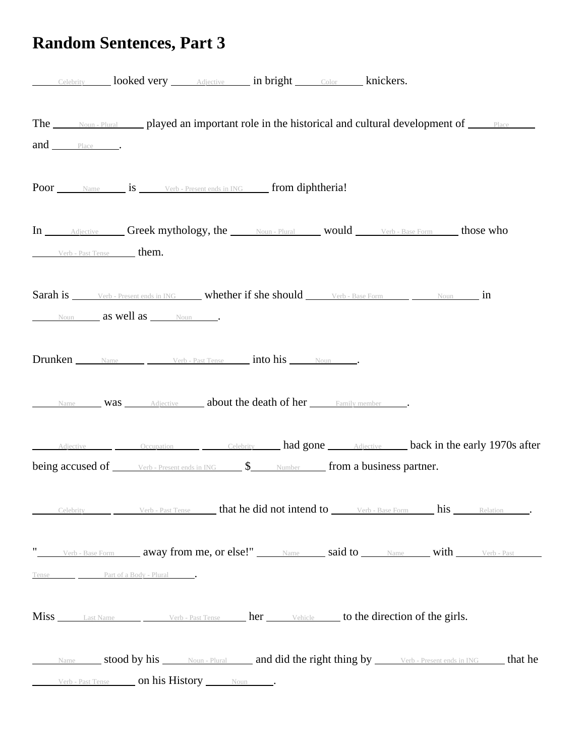## **Random Sentences, Part 3**

|                                  | Celebrity looked very <i>Adjective</i> in bright Color <b>Knickers.</b>                                                                        |  |  |
|----------------------------------|------------------------------------------------------------------------------------------------------------------------------------------------|--|--|
| and Place                        | The <u>soun-Plural</u> played an important role in the historical and cultural development of <b>Filace</b>                                    |  |  |
|                                  | Poor Name is Verb-Present ends in ING from diphtheria!                                                                                         |  |  |
| Verb - Past Tense them.          | In Adjective Greek mythology, the Noun-Plural would Verb-Base Form those who                                                                   |  |  |
| Noun <b>as Well as</b> Noun Noun | Sarah is Verb - Present ends in ING whether if she should Verb - Base Form Noun in                                                             |  |  |
|                                  | <b>Drunken</b> Name Verb-Past Tense <b>into his</b> Noun .                                                                                     |  |  |
|                                  | Name <b>Was</b> Adjective <b>about the death of her</b> Family member                                                                          |  |  |
|                                  | Adjective <b>Cocaugation Celebrity had gone Adjective back in the early 1970s after</b>                                                        |  |  |
|                                  | being accused of <i>Verb</i> - Present ends in ING \$ Number <b>from a business partner.</b>                                                   |  |  |
|                                  | Celebrity Verb - Past Tense that he did not intend to Verb - Base Form his Relation.                                                           |  |  |
| Tense Part of a Body - Plural .  | " Verb-Base Form away from me, or else!" Name said to Name with Verb-Past                                                                      |  |  |
|                                  | Miss Last Name Verb-Past Tense her Vehicle to the direction of the girls.                                                                      |  |  |
|                                  | Name stood by his Noun-Plural and did the right thing by Verb-Present ends in ING that he<br>Verb - Past Tense <b>On his History</b> Noun Noun |  |  |